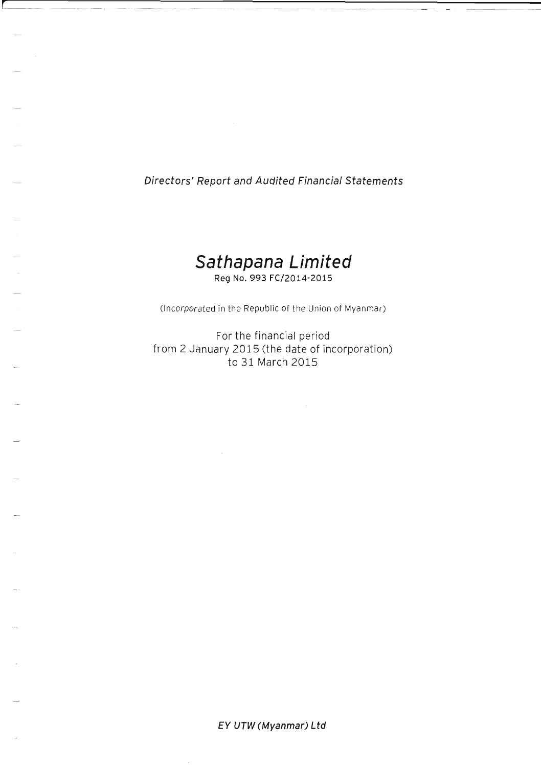Directors' Report and Audited Financial statements

**r** 

# **Sathapana Limited**  Reg No. 993 FC/2014-2015

(Incorporated in the Republic of the Union of Myanmar)

For the financial period from 2 January 2015 (the date of incorporation) to 31 March 2015

EY UTW (Myanmar) Ltd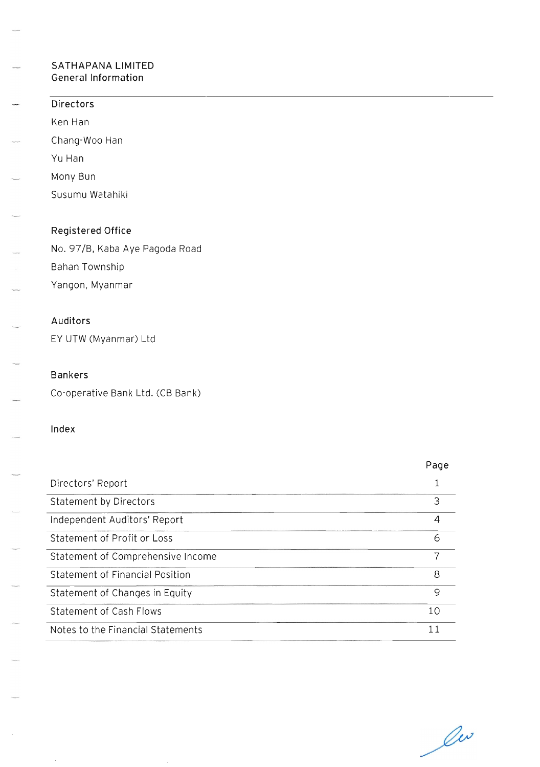# **SATHAPANA LIMITED**  General Information

Statement of Changes in Equity

Notes to the Financial Statements

Statement of Cash Flows

| Directors                         |                |
|-----------------------------------|----------------|
| Ken Han                           |                |
| Chang-Woo Han                     |                |
| Yu Han                            |                |
| Mony Bun                          |                |
| Susumu Watahiki                   |                |
|                                   |                |
| Registered Office                 |                |
| No. 97/B, Kaba Aye Pagoda Road    |                |
| Bahan Township                    |                |
| Yangon, Myanmar                   |                |
| Auditors                          |                |
| EY UTW (Myanmar) Ltd              |                |
| <b>Bankers</b>                    |                |
| Co-operative Bank Ltd. (CB Bank)  |                |
| Index                             |                |
|                                   | Page           |
| Directors' Report                 | $1\,$          |
| Statement by Directors            | 3              |
| Independent Auditors' Report      | $\overline{4}$ |
| Statement of Profit or Loss       | 6              |
| Statement of Comprehensive Income | $\overline{7}$ |
| Statement of Financial Position   | 8              |

lu

 $\overline{9}$ 

10 11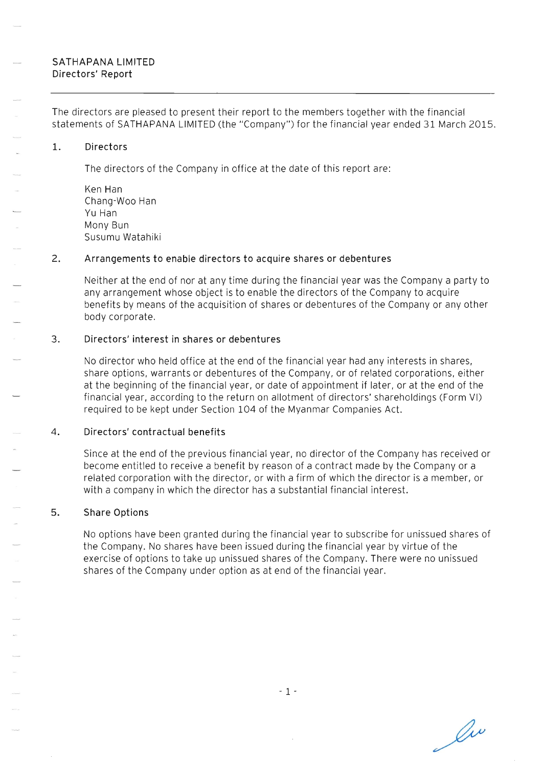# SATHAPANA LIMITED Directors' Report

The directors are pleased to present their report to the members together with the financial statements of SATHAPANA LIMITED (the "Company") for the financial year ended 31 March 2015.

## 1. Directors

The directors of the Company in office at the date of this report are:

Ken Han Chang-Woo Han Yu Han Mony Bun Susumu Watahiki

# 2. Arrangements to enable directors to acquire shares or debentures

Neither at the end of nor at any time during the financial year was the Company a party to any arrangement whose object is to enable the directors of the Company to acquire benefits by means of the acquisition of shares or debentures of the Company or any other body corporate.

# 3. Directors' interest in shares or debentures

No director who held office at the end of the financial year had any interests in shares, share options, warrants or debentures of the Company, or of related corporations, either at the beginning of the financial year, or date of appointment if later, or at the end of the financial year, according to the return on allotment of directors' shareholdings (Form VI) required to be kept under Section 104 of the Myanmar Companies Act.

## 4. Directors' contractual benefits

Since at the end of the previous financial year, no director of the Company has received or become entitled to receive a benefit by reason of a contract made by the Company or a related corporation with the director, or with a firm of which the director is a member, or with a company in which the director has a substantial financial interest.

## 5. Share Options

No options have been granted during the financial year to subscribe for unissued shares of the Company. No shares have been issued during the financial year by virtue of the exercise of options to take up unissued shares of the Company. There were no unissued shares of the Company under option as at end of the financial year.

Ov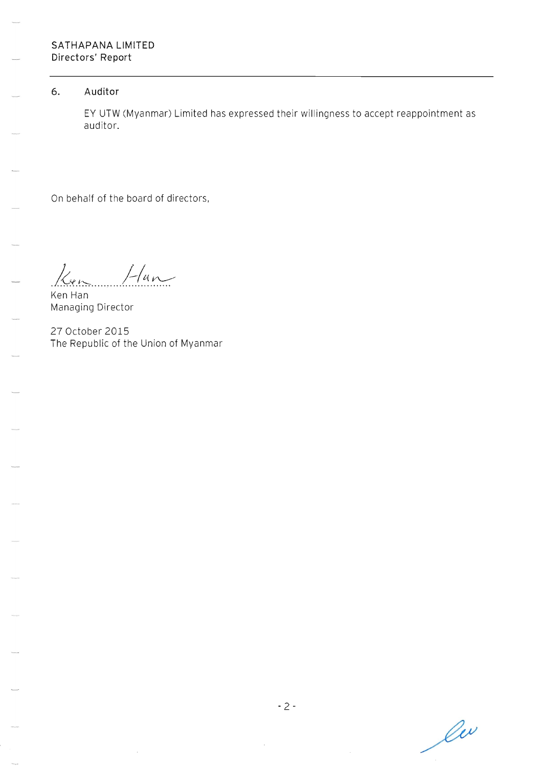## **6. Auditor**

EY UTW (Myanmar) Limited has expressed their willingness to accept reappointment as auditor.

On behalf of the board of directors,

 $\frac{1}{\sqrt{4\pi}}$ 

Managing Director

27 October 2015 The Republic of the Union of Myanmar

lu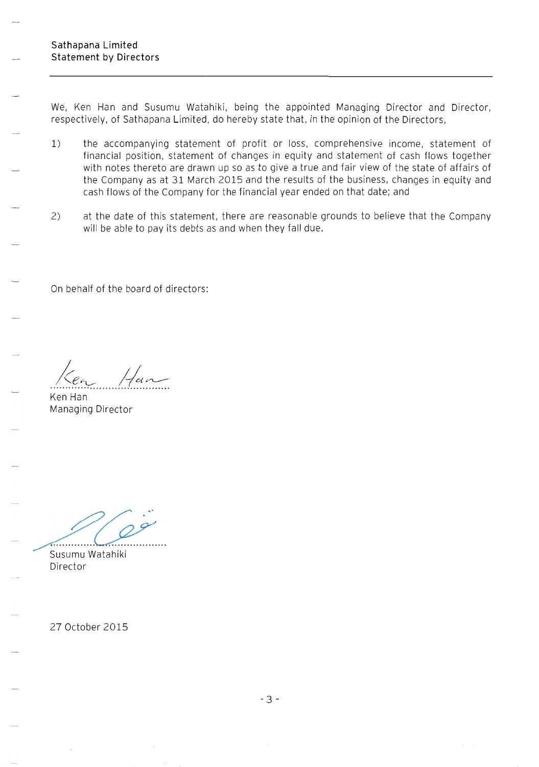We, Ken Han and Susumu Watahiki, being the appointed Managing Director and Director, respectively, of Sathapana Limited, do hereby state that, in the opinion of the Directors,

- 1) the accompanying statement of profit or loss, comprehensive income, statement of financial position, statement of changes in equity and statement of cash flows together with notes thereto are drawn up so as to give a true and fair view of the state of affairs of the Company as at 31 March 2015 and the results of the business, changes in equity and cash flows of the Company for the financial year ended on that date; and
- 2) at the date of this statement, there are reasonable grounds to believe that the Company will be able to pay its debts as and when they fall due.

On behalf of the board of directors:

 $\sqrt{a}$ 

Ken Han Managing Director

and the sustainable of the substitution of the substitution of the substitution of the substitution of the substitution of the substitution of the substitution of the substitution of the substitution of the substitution of

Susumu Watahiki Director

27 October 2015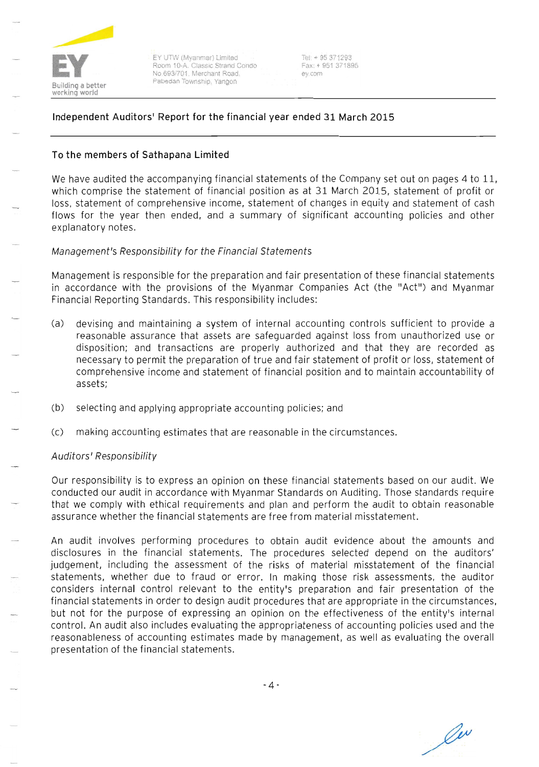

EY UTW (Myanmar) Limited Room 10-A. Classic Strand Condo No.693/701. Merchant Road. Pabedan Township, Yangon

 $Tel: + 95371293$ Fax: + 951 37 1895 ey.com

# **Independent Auditors' Report for the financial year ended 31 March 2015**

## **To the members of Sathapana Limited**

We have audited the accompanying financial statements of the Company set out on pages 4 to 11, which comprise the statement of financial position as at 31 March 2015, statement of profit or loss, statement of comprehensive income, statement of changes in equity and statement of cash flows for the year then ended, and a summary of significant accounting policies and other explanatory notes.

## Management's Responsibility for the Financial Statements

Management is responsible for the preparation and fair presentation of these financial statements in accordance with the provisions of the Myanmar Companies Act (the "Act") and Myanmar Financial Reporting Standards. This responsibility includes:

- (a) devising and maintaining a system of internal accounting controls sufficient to provide a reasonable assurance that assets are safeguarded against loss from unauthorized use or disposition; and transactions are properly authorized and that they are recorded as necessary to permit the preparation of true and fair statement of profit or loss, statement of comprehensive income and statement of financial position and to maintain accountability of assets;
- (b) selecting and applying appropriate accounting policies; and
- (c) making accounting estimates that are reasonable in the circumstances.

## Auditors' Responsibility

Our responsibility is to express an opinion on these financial statements based on our audit. We conducted our audit in accordance with Myanmar Standards on Auditing. Those standards require that we comply with ethical requirements and plan and perform the audit to obtain reasonable assurance whether the financial statements are free from material misstatement.

An audit involves performing procedures to obtain audit evidence about the amounts and disclosures in the financial statements. The procedures selected depend on the auditors' judgement, including the assessment of the risks of material misstatement of the financial statements, whether due to fraud or error. In making those risk assessments, the auditor considers internal control relevant to the entity's preparation and fair presentation of the financial statements in order to design audit procedures that are appropriate in the circumstances, but not for the purpose of expressing an opinion on the effectiveness of the entity's internal control. An audit also includes evaluating the appropriateness of accounting policies used and the reasonableness of accounting estimates made by management, as well as evaluating the overall presentation of the financial statements.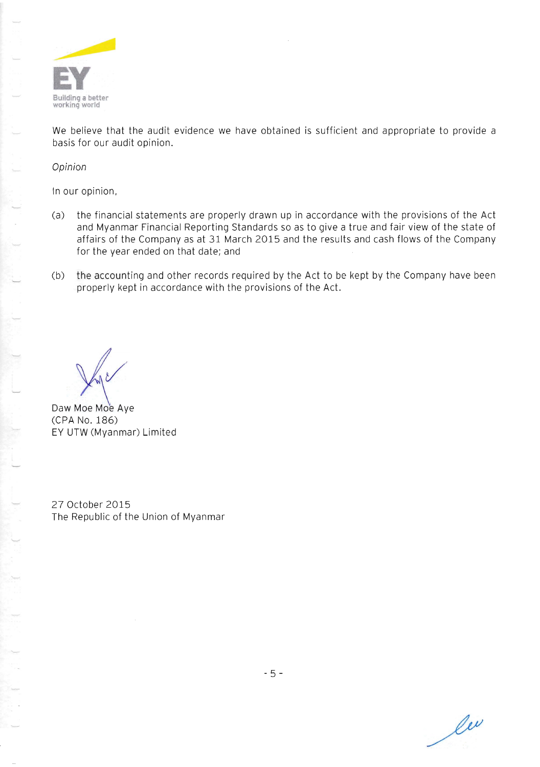

We believe that the audit evidence we have obtained is sufficient and appropriate to provide a basis for our audit opinion.

Opinion

In our opinion,

- (a) the financial statements are properly drawn up in accordance with the provisions of the Act and Myanmar Financial Reporting Standards so as to give a true and fair view of the state of affairs of the Company as at 31 March 2015 and the results and cash flows of the Company for the year ended on that date; and
- (b) the accounting and other records required by the Act to be kept by the Company have been properly kept in accordance with the provisions of the Act.

Daw Moe Moe Aye (CPA No. 186) EY UTW (Myanmar) Limited

27 October 2015 The Republic of the Union of Myanmar

les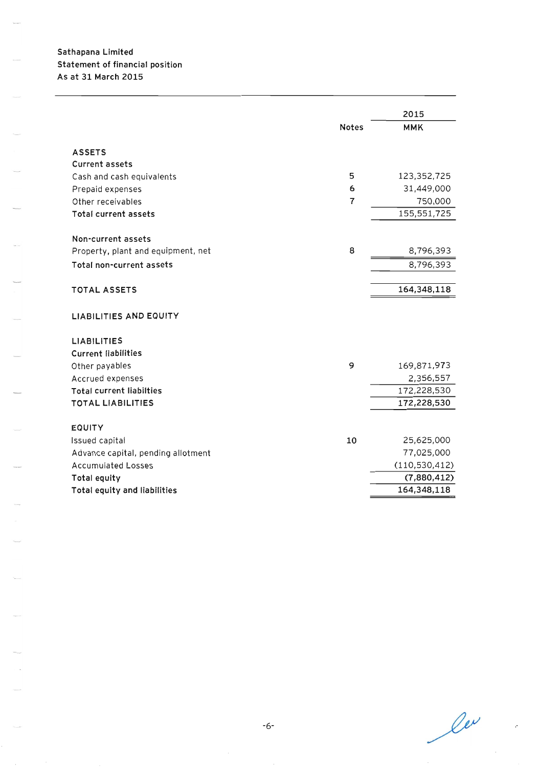# Sathapana Limited Statement of financial position As at 31 March 2015

|                                    |                | 2015                       |
|------------------------------------|----------------|----------------------------|
|                                    | <b>Notes</b>   | <b>MMK</b>                 |
| <b>ASSETS</b>                      |                |                            |
| <b>Current assets</b>              |                |                            |
| Cash and cash equivalents          | 5              | 123,352,725                |
| Prepaid expenses                   | 6              | 31,449,000                 |
| Other receivables                  | $\overline{7}$ | 750,000                    |
| Total current assets               |                | 155,551,725                |
|                                    |                |                            |
| Non-current assets                 |                |                            |
| Property, plant and equipment, net | 8              | 8,796,393                  |
| Total non-current assets           |                | 8,796,393                  |
| <b>TOTAL ASSETS</b>                |                |                            |
|                                    |                | 164,348,118                |
| <b>LIABILITIES AND EQUITY</b>      |                |                            |
| <b>LIABILITIES</b>                 |                |                            |
| <b>Current liabilities</b>         |                |                            |
| Other payables                     | 9              | 169,871,973                |
| Accrued expenses                   |                | 2,356,557                  |
| <b>Total current liabilties</b>    |                | 172,228,530                |
| <b>TOTAL LIABILITIES</b>           |                | 172,228,530                |
|                                    |                |                            |
| <b>EQUITY</b>                      |                |                            |
| Issued capital                     | 10             | 25,625,000                 |
| Advance capital, pending allotment |                | 77,025,000                 |
| <b>Accumulated Losses</b>          |                | (110, 530, 412)            |
| Total equity                       |                | (7,880,412)<br>164,348,118 |
| Total equity and liabilities       |                |                            |

 $\ell^{\nu}$ 

r.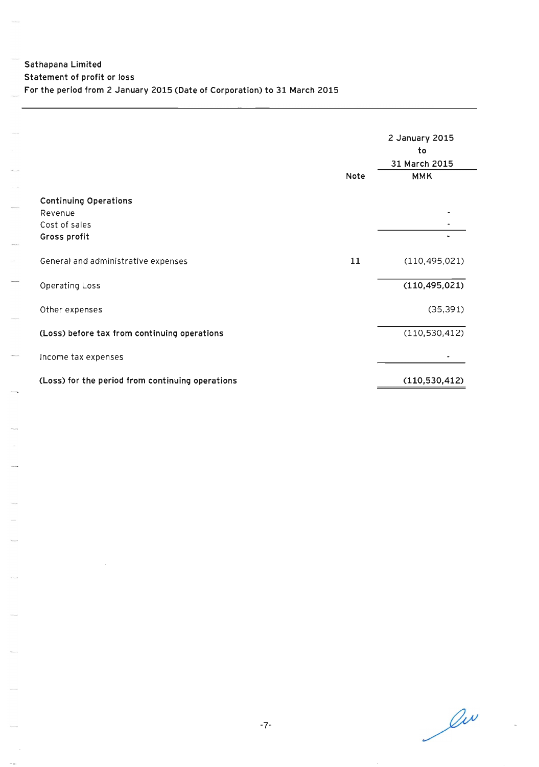|                                                  |      | 2 January 2015<br>to<br>31 March 2015 |
|--------------------------------------------------|------|---------------------------------------|
|                                                  | Note | <b>MMK</b>                            |
| <b>Continuing Operations</b>                     |      |                                       |
| Revenue                                          |      |                                       |
| Cost of sales                                    |      |                                       |
| Gross profit                                     |      |                                       |
| General and administrative expenses              | 11   | (110, 495, 021)                       |
| Operating Loss                                   |      | (110, 495, 021)                       |
| Other expenses                                   |      | (35, 391)                             |
| (Loss) before tax from continuing operations     |      | (110, 530, 412)                       |
| Income tax expenses                              |      |                                       |
| (Loss) for the period from continuing operations |      | (110, 530, 412)                       |

liv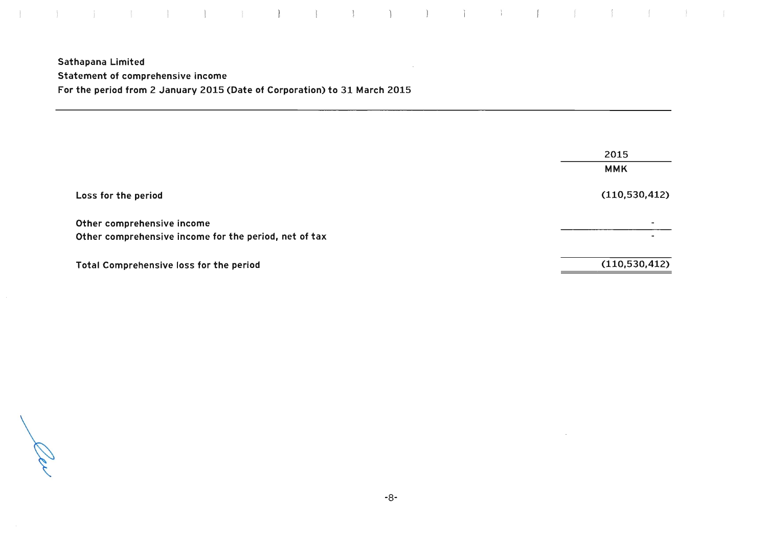Sathapana Limited Statement of comprehensive income For the period from 2 January 2015 (Date of Corporation) to 31 March 2015

|                                                                                     | 2015            |
|-------------------------------------------------------------------------------------|-----------------|
|                                                                                     | <b>MMK</b>      |
| Loss for the period                                                                 | (110, 530, 412) |
| Other comprehensive income<br>Other comprehensive income for the period, net of tax |                 |
| <b>Total Comprehensive loss for the period</b>                                      | (110, 530, 412) |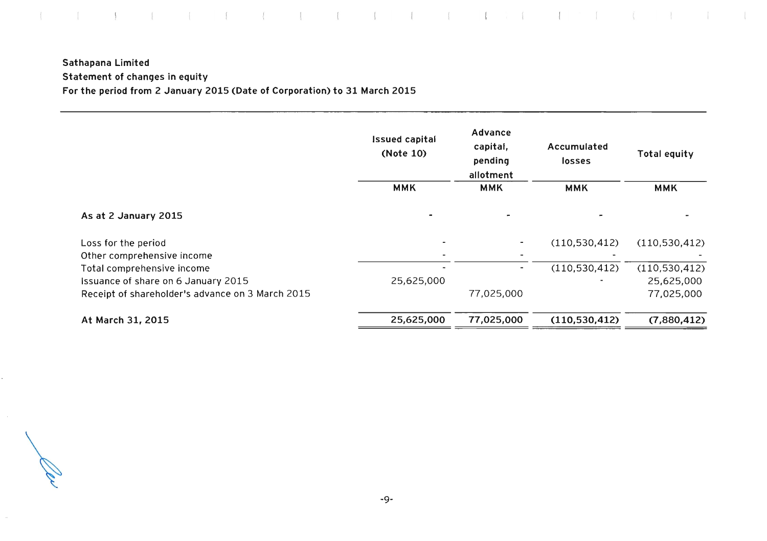# Sathapana Limited Statement of changes in equity For the period from 2 January 2015 (Date of Corporation) to 31 March 2015

|                                                  | <b>Issued capital</b><br>(Note 10) | Advance<br>capital,<br>pending<br>allotment | Accumulated<br>losses | <b>Total equity</b> |
|--------------------------------------------------|------------------------------------|---------------------------------------------|-----------------------|---------------------|
|                                                  | <b>MMK</b>                         | <b>MMK</b>                                  | <b>MMK</b>            | <b>MMK</b>          |
| As at 2 January 2015                             |                                    |                                             |                       |                     |
| Loss for the period                              |                                    |                                             | (110, 530, 412)       | (110, 530, 412)     |
| Other comprehensive income                       |                                    |                                             |                       |                     |
| Total comprehensive income                       |                                    |                                             | (110, 530, 412)       | (110, 530, 412)     |
| Issuance of share on 6 January 2015              | 25,625,000                         |                                             |                       | 25,625,000          |
| Receipt of shareholder's advance on 3 March 2015 |                                    | 77,025,000                                  |                       | 77,025,000          |
| At March 31, 2015                                | 25,625,000                         | 77,025,000                                  | (110,530,412)         | (7,880,412)         |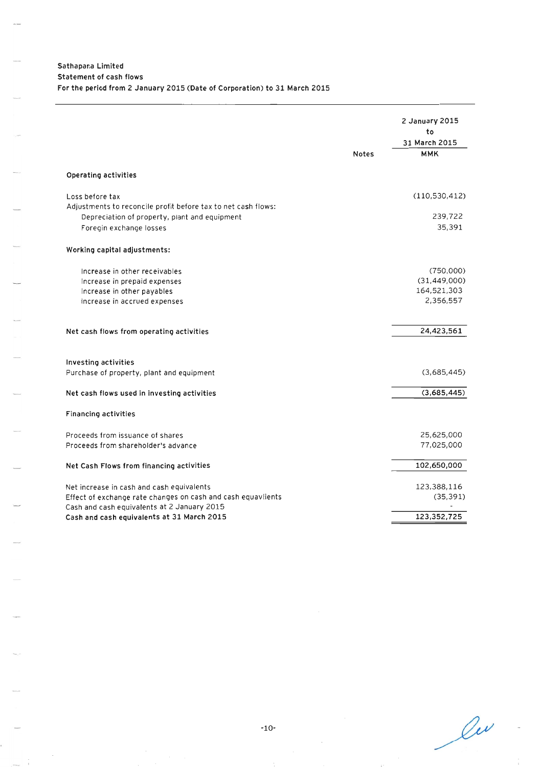|                                                                                                                                                          | <b>Notes</b> | 2 January 2015<br>to<br>31 March 2015<br><b>MMK</b>     |
|----------------------------------------------------------------------------------------------------------------------------------------------------------|--------------|---------------------------------------------------------|
| Operating activities                                                                                                                                     |              |                                                         |
| Loss before tax<br>Adjustments to reconcile profit before tax to net cash flows:                                                                         |              | (110,530,412)                                           |
| Depreciation of property, plant and equipment<br>Foregin exchange losses                                                                                 |              | 239,722<br>35,391                                       |
| Working capital adjustments:                                                                                                                             |              |                                                         |
| Increase in other receivables<br>Increase in prepaid expenses<br>Increase in other payables<br>Increase in accrued expenses                              |              | (750,000)<br>(31, 449, 000)<br>164,521,303<br>2,356,557 |
| Net cash flows from operating activities                                                                                                                 |              | 24,423,561                                              |
| Investing activities<br>Purchase of property, plant and equipment                                                                                        |              | (3,685,445)                                             |
| Net cash flows used in investing activities                                                                                                              |              | (3,685,445)                                             |
| <b>Financing activities</b>                                                                                                                              |              |                                                         |
| Proceeds from issuance of shares<br>Proceeds from shareholder's advance                                                                                  |              | 25,625,000<br>77,025,000                                |
| Net Cash Flows from financing activities                                                                                                                 |              | 102,650,000                                             |
| Net increase in cash and cash equivalents<br>Effect of exchange rate changes on cash and cash equavlients<br>Cash and cash equivalents at 2 January 2015 |              | 123,388,116<br>(35, 391)                                |
| Cash and cash equivalents at 31 March 2015                                                                                                               |              | 123,352,725                                             |

 $\ell$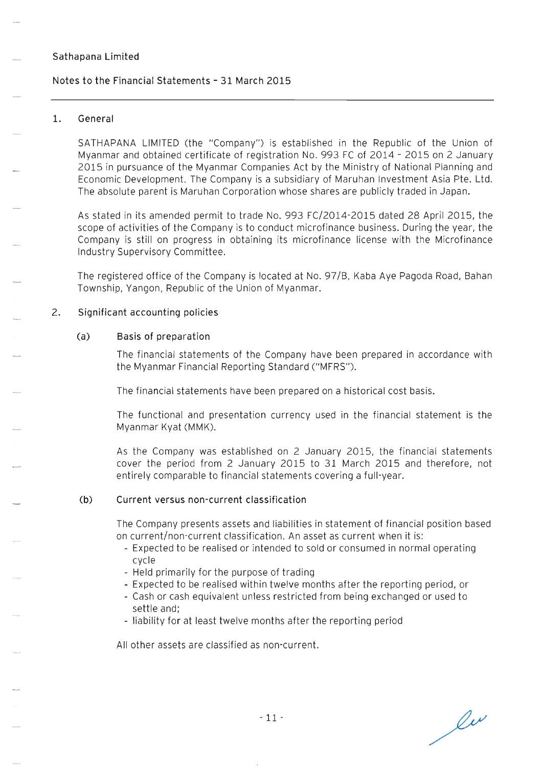### Notes to the Financial Statements - 31 March 2015

#### 1. General

SATHAPANA LIMITED (the "Company") is established in the Republic of the Union of Myanmar and obtained certificate of registration No. 993 FC of 2014 - 2015 on 2 January 2015 in pursuance of the Myanmar Companies Act by the Ministry of National Planning and Economic Development. The Company is a subsidiary of Maruhan Investment Asia Pte. Ltd. The absolute parent is Maruhan Corporation whose shares are publicly traded in Japan.

As stated in its amended permit to trade No. 993 FC/2014-2015 dated 28 April 2015, the scope of activities of the Company is to conduct microfinance business. During the year, the Company is still on progress in obtaining its microfinance license with the Microfinance Industry Supervisory Committee.

The registered office of the Company is located at No. 97/B, Kaba Aye Pagoda Road, Bahan Township, Yangon, Republic of the Union of Myanmar.

#### 2. Significant accounting policies

#### (a) Basis of preparation

The financial statements of the Company have been prepared in accordance with the Myanmar Financial Reporting Standard ("MFRS").

The financial statements have been prepared on a historical cost basis.

The functional and presentation currency used in the financial statement is the Myanmar Kyat (MMK).

As the Company was established on 2 January 2015, the financial statements cover the period from 2 January 2015 to 31 March 2015 and therefore, not entirely comparable to financial statements covering a full-year.

#### (b) Current versus non-current classification

The Company presents assets and liabilities in statement of financial position based on current/non-current classification. An asset as current when it is:

- Expected to be realised or intended to sold or consumed in normal operating cycle
- Held primarily for the purpose of trading
- Expected to be realised within twelve months after the reporting period, or
- Cash or cash equivalent unless restricted from being exchanged or used to settle and;
- liability for at least twelve months after the reporting period

All other assets are classified as non-current.

 $\ell^{\nu}$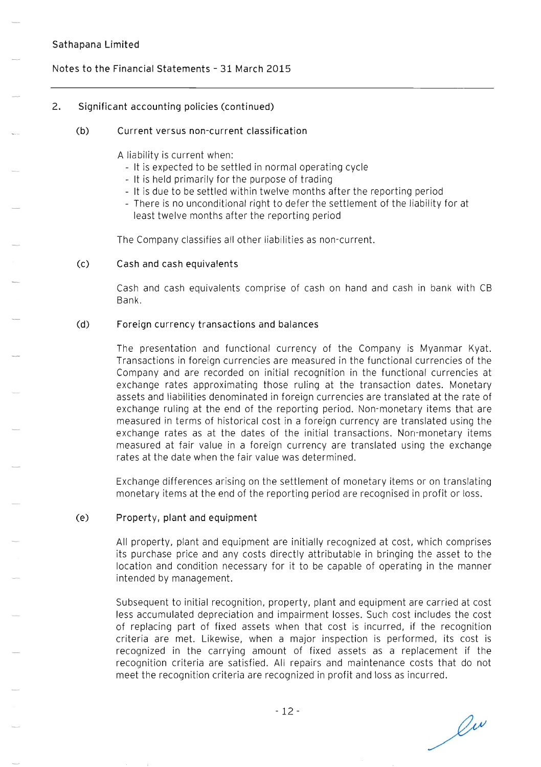### Notes to the Financial Statements - 31 March 2015

### 2. Significant accounting policies (continued)

#### (b) Current versus non-current classification

A liability is current when:

- It is expected to be settled in normal operating cycle
- It is held primarily for the purpose of trading
- It is due to be settled within twelve months after the reporting period
- There is no unconditional right to defer the settlement of the liability for at least twelve months after the reporting period

The Company classifies all other liabilities as non-current.

#### (c) Cash and cash equivalents

Cash and cash equivalents comprise of cash on hand and cash in bank with CB Bank.

#### (d) Foreign currency transactions and balances

The presentation and functional currency of the Company is Myanmar Kyat. Transactions in foreign currencies are measured in the functional currencies of the Company and are recorded on initial recognition in the functional currencies at exchange rates approximating those ruling at the transaction dates. Monetary assets and liabilities denominated in foreign currencies are translated at the rate of exchange ruling at the end of the reporting period. Non-monetary items that are measured in terms of historical cost in a foreign currency are translated using the exchange rates as at the dates of the initial transactions. Non-monetary items measured at fair value in a foreign currency are translated using the exchange rates at the date when the fair value was determined.

Exchange differences arising on the settlement of monetary items or on translating monetary items at the end of the reporting period are recognised in profit or loss.

#### (e) Property, plant and equipment

All property, plant and equipment are initially recognized at cost, which comprises its purchase price and any costs directly attributable in bringing the asset to the location and condition necessary for it to be capable of operating in the manner intended by management.

Subsequent to initial recognition, property, plant and equipment are carried at cost less accumulated depreciation and impairment losses. Such cost includes the cost of replacing part of fixed assets when that cost is incurred, if the recognition criteria are met. Likewise, when a major inspection is performed, its cost is recognized in the carrying amount of fixed assets as a replacement if the recognition criteria are satisfied. All repairs and maintenance costs that do not meet the recognition criteria are recognized in profit and loss as incurred.

 $\ell^{\omega}$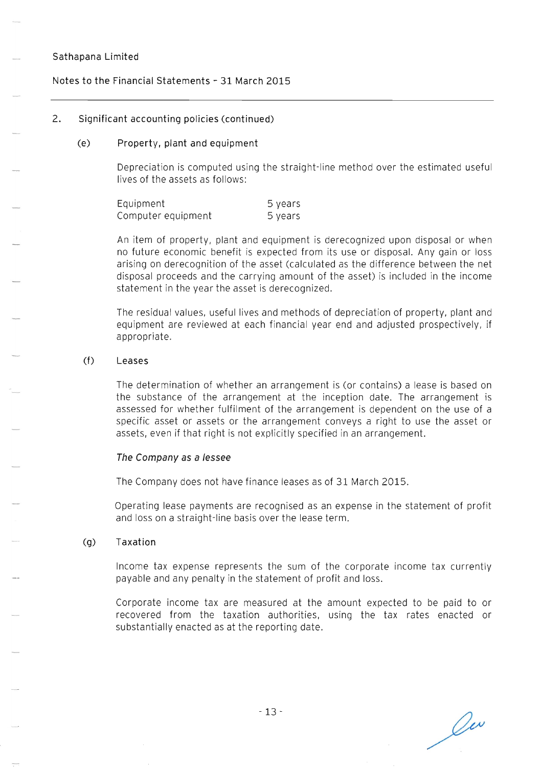### Notes to the Financial Statements - 31 March 2015

#### 2. Significant accounting policies (continued)

#### (e) Property, plant and equipment

Depreciation is computed using the straight-line method over the estimated useful lives of the assets as follows:

| Equipment          | 5 years |
|--------------------|---------|
| Computer equipment | 5 years |

An item of property, plant and equipment is derecognized upon disposal or when no future economic benefit is expected from its use or disposal. Any gain or loss arising on derecognition of the asset (calculated as the difference between the net disposal proceeds and the carrying amount of the asset) is included in the income statement in the year the asset is derecognized.

The residual values, useful lives and methods of depreciation of property, plant and equipment are reviewed at each financial year end and adjusted prospectively, if appropriate.

#### (f) Leases

The determination of whether an arrangement is (or contains) a lease is based on the substance of the arrangement at the inception date. The arrangement is assessed for whether fulfilment of the arrangement is dependent on the use of a specific asset or assets or the arrangement conveys a right to use the asset or assets, even if that right is not explicitly specified in an arrangement.

#### **The** Company as a lessee

The Company does not have finance leases as of 31 March 2015.

Operating lease payments are recognised as an expense in the statement of profit and loss on a straight-line basis over the lease term.

#### (g) Taxation

Income tax expense represents the sum of the corporate income tax currently payable and any penalty in the statement of profit and loss.

Corporate income tax are measured at the amount expected to be paid to or recovered from the taxation authorities, using the tax rates enacted or substantially enacted as at the reporting date.

Ou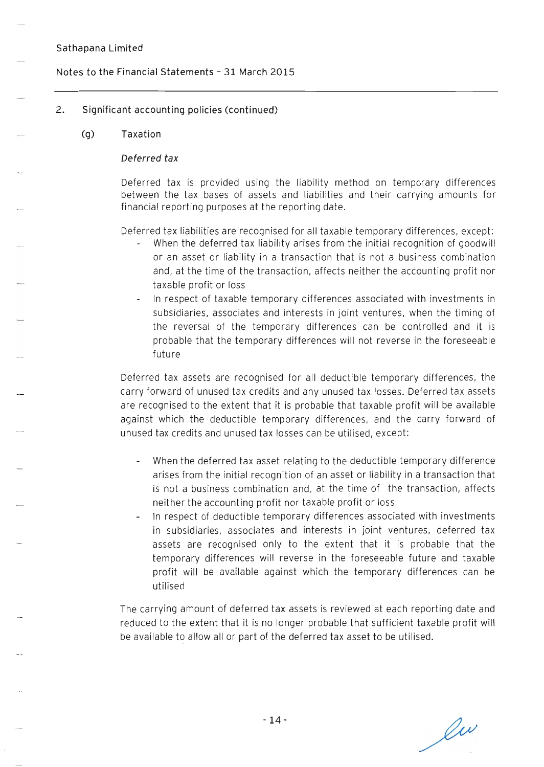# **Notes to the Financial Statements - 31 March 2015**

# **2. Significant accounting policies (continued)**

# **(g) Taxation**

## **Deferred tax**

Deferred tax is provided using the liability method on temporary differences between the tax bases of assets and liabilities and their carrying amounts for financial reporting purposes at the reporting date.

Deferred tax liabilities are recognised for all taxable temporary differences, except:

- When the deferred tax liability arises from the initial recognition of goodwill or an asset or liability in a transaction that is not a business combination and, at the time of the transaction, affects neither the accounting profit nor ta xable profit or loss
- In respect of taxable temporary differences associated with investments in subsidiaries, associates and interests in joint ventures, when the timing of the reversal of the temporary differences can be controlled and it is probable that the temporary differences will not reverse in the foreseeable future

Deferred tax assets are recognised for all deductible temporary differences, the carry forward of unused tax credits and any unused tax losses. Deferred tax assets are recognised to the extent that it is probable that taxable profit will be available against which the deductible temporary differences, and the carry forward of unused tax credits and unused tax losses can be utilised, except:

- When the deferred tax asset relating to the deductible temporary difference arises from the initial recognition of an asset or liability in a transaction that is not a business combination and, at the time of the transaction, affects neither the accounting profit nor taxable profit or loss
- In respect of deductible temporary differences associated with investments in subsidiaries, associates and interests in joint ventures, deferred tax assets are recognised only to the extent that it is probable that the temporary differences will reverse in the foreseeable future and taxable profit will be available against which the temporary differences can be utilised

**The** carrying amount of deferred tax assets is reviewed at each reporting date and reduced to the extent that it is no longer probable that sufficient taxable profit will be available to allow all or part of the deferred tax asset to be utilised.

 $\ell^{\omega}$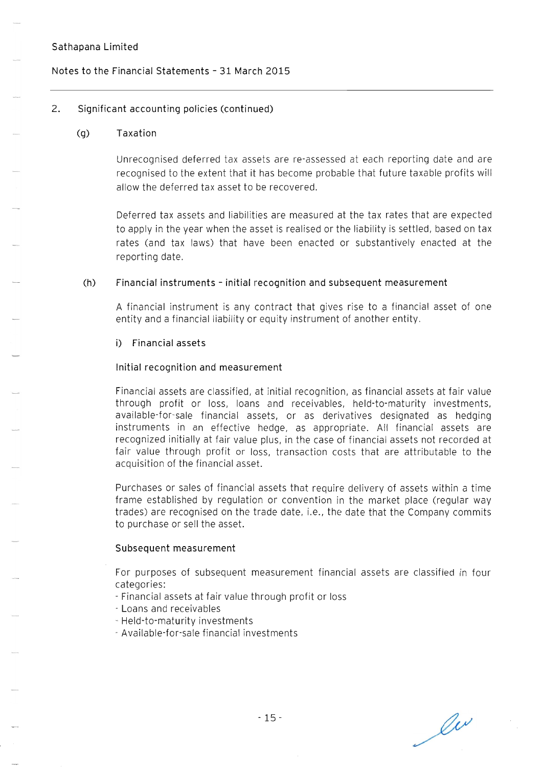### **Notes to the Financial Statements - 31 March 2015**

### **2. Significant accounting policies (continued)**

#### **(g) Taxation**

Unrecognised deferred tax assets are re-assessed at each reporting date and are recognised to the extent that it has become probable that future taxable profits will allow the deferred tax asset to be recovered.

Deferred tax assets and liabilities are measured at the tax rates that are expected to apply in the year when the asset is realised or the liability is settled, based on tax rates (and tax laws) that have been enacted or substantively enacted at the reporting date.

#### **(h) Financial instruments - initial recognition and subsequent measurement**

A financial instrument is any contract that gives rise to a financial asset of one entity and a financial liability or equity instrument of another entity.

#### **i) Financial assets**

#### **Initial recognition and measurement**

Financial assets are classified, at initial recognition, as financial assets at fair value through profit or loss, loans and receivables, held-to-maturity investments, available-for-sale financial assets, or as derivatives designated as hedging instruments in an effective hedge, as appropriate. All financial assets are recognized initially at fair value plus, in the case of financial assets not recorded at fair value through profit or loss, transaction costs that are attributable to the acquisition of the financial asset.

Purchases or sales of financial assets that require delivery of assets within a time frame established by regulation or convention in the market place (regular way trades) are recognised on the trade date, i.e. , the date that the Company commits to purchase or sell the asset.

#### **Subsequent measurement**

For purposes of subsequent measurement financial assets are classified in four categories:

- Financial assets at fair value through profit or loss
- Loans and receivables
- Held-to-maturity investments
- Available-for-sale financial investments

lu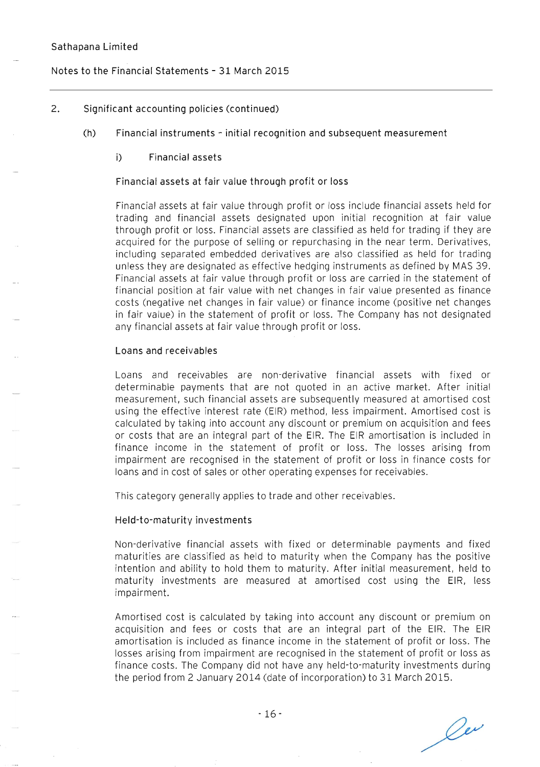### **Notes to the Financial Statements - 31 March 2015**

#### **2. Significant accounting policies (continued)**

**(h) Financial instruments - initial recognition and subsequent measurement** 

#### **i) Financial assets**

#### **Financial assets at fair value through profit or loss**

Financial assets at fair value through profit or loss include financial assets held for trading and financial assets designated upon initial recognition at fair value through profit or loss. Financial assets are classified as held for trading **if** they are acquired for the purpose of selling or repurchasing in the near term. Derivatives, including separated embedded derivatives are also classified as held for trading unless they are designated as effective hedging instruments as defined by MAS 39. Financial assets at fair value through profit or loss are carried in the statement of financial position at fair value with net changes in fair value presented as finance costs (negative net changes in fair value) or finance income (positive net changes in fair value) in the statement of profit or loss. The Company has not designated any financial assets at fair value through profit or loss.

#### **Loans and receivables**

Loans and receivables are non-derivative financial assets with fixed or determinable payments that are not quoted in an active market. After initial measurement, such financial assets are subsequently measured at amortised cost using the effective interest rate (EIR) method, less impairment. Amortised cost is calculated by taking into account any discount or premium on acquisition and fees or costs that are an integral part of the EIR. The EIR amortisation is included in finance income in the statement of profit or loss. The losses arising from impairment are recognised in the statement of profit or loss in finance costs for loans and in cost of sales or other operating expenses for receivables.

This category generally applies to trade and other receivables.

#### **Held-to-maturity investments**

Non-derivative financial assets with fixed or determinable payments and fixed maturities are classified as held to maturity when the Company has the positive intention and ability to hold them to maturity. After initial measurement, held to maturity investments are measured at amortised cost using the EIR, less impairment.

Amortised cost is calculated by taking into account any discount or premium on acquisition and fees or costs that are an integral part of the EIR. The EIR amortisation is included as finance income in the statement of profit or loss. The losses arising from impairment are recognised in the statement of profit or loss as finance costs. The Company did not have any held-to-maturity investments during the period from 2 January 2014 (date of incorporation) to **31** March 2015.

les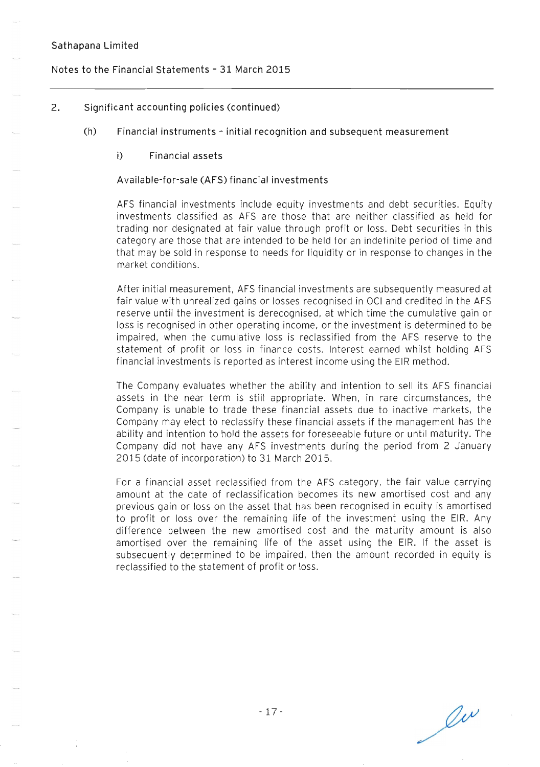### Notes to the Financial Statements - 31 March 2015

### 2. Significant accounting policies (continued)

- (h) Financial instruments initial recognition and subsequent measurement
	- i) Financial assets

#### A vailable-for-sale (AFS) financial investments

AFS financial investments include equity investments and debt securities. Equity investments classified as AFS are those that are neither classified as held for trading nor designated at fair value through profit or loss. Debt securities in this category are those that are intended to be held for an indefinite period of time and that may be sold in response to needs for liquidity or in response to changes in the market conditions.

After initial measurement, AFS financial investments are subsequently measured at fair value with unrealized gains or losses recognised in OCI and credited in the AFS reserve until the investment is derecognised, at which time the cumulative gain or loss is recognised in other operating income, or the investment is determined to be impaired, when the cumulative loss is reclassified from the AFS reserve to the statement of profit or loss in finance costs. Interest earned whilst holding AFS financial investments is reported as interest income using the EIR method.

The Company evaluates whether the ability and intention to sell its AFS financial assets in the near term is still appropriate. When, in rare circumstances, the Company is unable to trade these financial assets due to inactive markets, the Company may elect to reclassify these financial assets if the management has the ability and intention to hold the assets for foreseeable future or until maturity. The Company did not have any AFS investments during the period from 2 January 2015 (date of incorporation) to 31 March 2015.

For a financial asset reclassified from the AFS category, the fair value carrying amount at the date of reclassification becomes its new amortised cost and any previous gain or loss on the asset that has been recognised in equity is amortised to profit or loss over the remaining life of the investment using the EIR. Any difference between the new amortised cost and the maturity amount is also amortised over the remaining life of the asset using the EIR. If the asset is subsequently determined to be impaired, then the amount recorded in equity is reclassified to the statement of profit or loss.

 $\ell^{\nu}$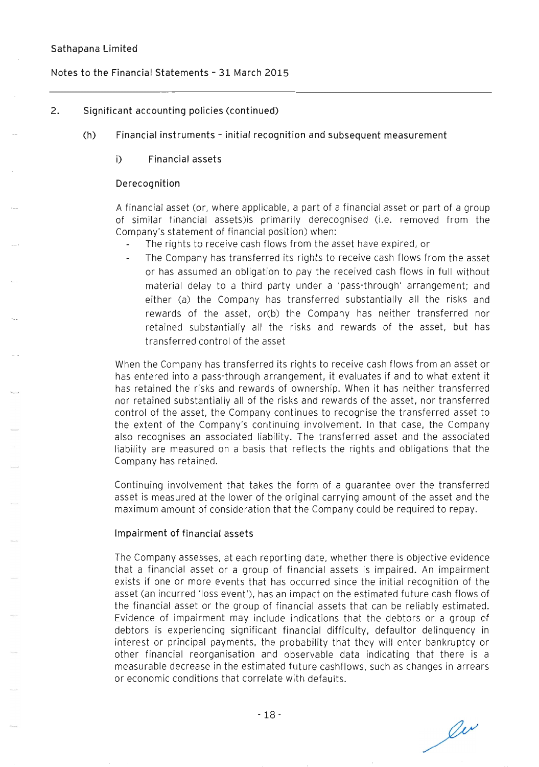#### Notes to the Financial Statements - 31 March 2015

### 2. Significant accounting policies (continued)

- (h) Financial instruments initial recognition and subsequent measurement
	- i) Financial assets

#### **Derecognition**

A financial asset (or, where applicable, a part of a financial asset or part of a group of similar financial assets)is primarily derecognised (i.e. removed from the Company's statement of financial position) when:

- The rights to receive cash flows from the asset have expired, or
- The Company has transferred its rights to receive cash flows from the asset or has assumed an obligation to pay the received cash flows in full without material delay to a third party under a 'pass-through' arrangement; and either (a) the Company has transferred substantially all the risks and rewards of the asset, or(b) the Company has neither transferred nor retained substantially all the risks and rewards of the asset, but has transferred control of the asset

When the Company has transferred its rights to receive cash flows from an asset or has entered into a pass-through arrangement, it evaluates if and to what extent it has retained the risks and rewards of ownership. When it has neither transferred nor retained substantially all of the risks and rewards of the asset, nor transferred control of the asset, the Company continues to recognise the transferred asset to the extent of the Company's continuing involvement. In that case, the Company also recognises an associated liability. The transferred asset and the associated liability are measured on a basis that reflects the rights and obligations that the Company has retained.

Continuing involvement that takes the form of a guarantee over the transferred asset is measured at the lower of the original carrying amount of the asset and the maximum amount of consideration that the Company could be required to repay.

#### Impairment of financial assets

The Company assesses, at each reporting date, whether there is objective evidence that a financial asset or a group of financial assets is impaired. An impairment exists if one or more events that has occurred since the initial recognition of the asset (an incurred 'loss event'), has an impact on the estimated future cash flows of the financial asset or the group of financial assets that can be reliably estimated. Evidence of impairment may include indications that the debtors or a group of debtors is experiencing significant financial difficulty, defaultor delinquency in interest or principal payments, the probability that they will enter bankruptcy or other financial reorganisation and observable data indicating that there is a measurable decrease in the estimated future cashflows, such as changes in arrears or economic conditions that correlate with defaults.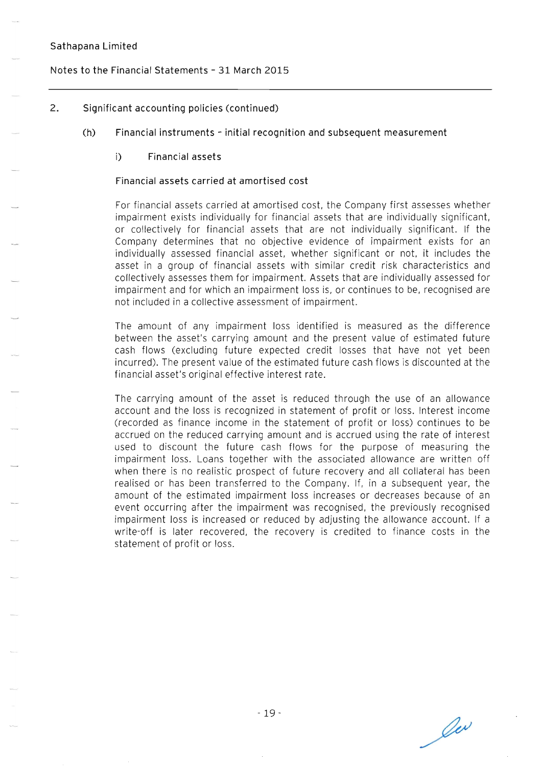# **Notes to the Financial Statements - 31 March 2015**

## **2. Significant accounting policies (continued)**

- **(h) Financial instruments - initial recognition and subsequent measurement** 
	- i) **Financial assets**

### **Financial assets carried at amortised cost**

For financial assets carried at amortised cost, the Company first assesses whether impairment exists individually for financial assets that are individually significant, or collectively for financial assets that are not individually significant. If the Company determines that no objective evidence of impairment exists for an individually assessed financial asset, whether significant or not, it includes the asset in a group of financial assets with similar credit risk characteristics and collectively assesses them for impairment. Assets that are individually assessed for impairment and for which an impairment loss is, or continues to be, recognised are not included in a collective assessment of impairment.

The amount of any impairment loss identified is measured as the difference between the asset's carrying amount and the present value of estimated future cash flows (excluding future expected credit losses that have not yet been incurred). The present value of the estimated future cash flows is discounted at the financial asset's original effective interest rate.

The carrying amount of the asset is reduced through the use of an allowance account and the loss is recognized in statement of profit or loss. Interest income (recorded as finance income in the statement of profit or loss) continues to be accrued on the reduced carrying amount and is accrued using the rate of interest used to discount the future cash flows for the purpose of measuring the impairment loss. Loans together with the associated allowance are written off when there is no realistic prospect of future recovery and all collateral has been realised or has been transferred to the Company. If, in a subsequent year, the amount of the estimated impairment loss increases or decreases because of an event occurring after the impairment was recognised, the previously recognised impairment loss is increased or reduced by adjusting the allowance account. If a write-off is later recovered, the recovery is credited to finance costs **in** the statement of profit or loss.

Oer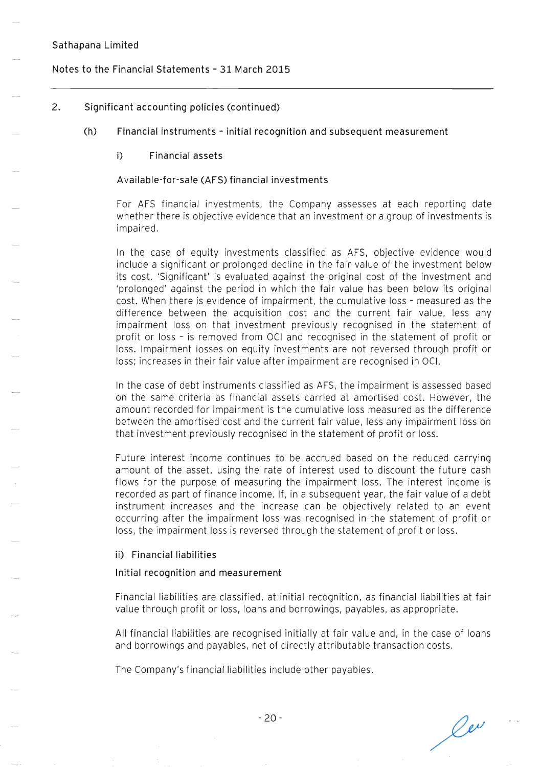### **Notes to the Financial Statements - 31 March 2015**

### **2. Significant accounting policies (continued)**

**(h) Financial instruments - initial recognition and subsequent measurement** 

#### **i) Financial assets**

#### **A vailable-for-sale (AFS) financial investments**

For AFS financial investments, the Company assesses at each reporting date whether there is objective evidence that an investment or a group of investments is impaired.

In the case of equity investments classified as AFS, objective evidence would include a significant or prolonged decline in the fair value of the investment below its cost. 'Significant' is evaluated against the original cost of the investment and 'prolonged' against the period in which the fair value has been below its original cost. When there is evidence of impairment. the cumulative loss - measured as the difference between the acquisition cost and the current fair value, less any impairment loss on that investment previously recognised in the statement of profit or loss - is removed from OCI and recognised in the statement of profit or loss. Impairment losses on equity investments are not reversed through profit or loss; increases in their fair value after impairment are recognised in OCI.

In the case of debt instruments classified as AFS, the impairment is assessed based on the same criteria as financial assets carried at amortised cost. However, the amount recorded for impairment is the cumulative loss measured as the difference between the amortised cost and the current fair value, less any impairment loss on that investment previously recognised in the statement of profit or loss.

Future interest income continues to be accrued based on the reduced carrying amount of the asset, using the rate of interest used to discount the future cash flows for the purpose of measuring the impairment loss. The interest income is recorded as part of finance income. If, in a subsequent year, the fair value of a debt instrument increases and the increase can be objectively related to an event occurring after the impairment loss was recognised in the statement of profit or loss, the impairment loss is reversed through the statement of profit or loss.

**ii) Financial liabilities** 

#### **Initial recognition and measurement**

Financial liabilities are classified, at initial recognition, as financial liabilities at fair value through profit or loss, loans and borrowings, payables, as appropriate.

All financial liabilities are recognised initially at fair value and, in the case of loans and borrowings and payables, net of directly attributable transaction costs.

The Company's financial liabilities include other payables.

 $\ell^{\nu}$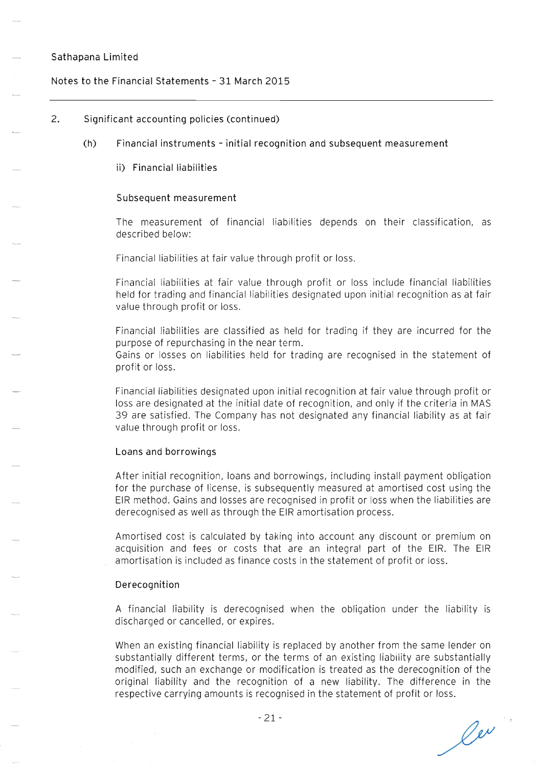### **Notes to the Financial Statements - 31 March 2015**

### **2. Significant accounting policies (continued)**

- **(h) Financial instruments - initial recognition and subsequent measurement** 
	- $i$ i) Financial liabilities

#### **Subsequent measurement**

The measurement of financial liabilities depends on their classification, as described below:

Financial liabilities at fair value through profit or loss.

Financial liabilities at fair value through profit or loss include financial liabilities held for trading and financial liabilities designated upon initial recognition as at fair value through profit or loss.

Financial liabilities are classified as held for trading if they are incurred for the purpose of repurchasing in the near term. Gains or losses on liabilities held for trading are recognised in the statement of profit or loss.

Financial liabilities designated upon initial recognition at fair value through profit or loss are designated at the initial date of recognition, and only if the criteria in MAS 39 are satisfied. The Company has not designated any financial liability as at fair value through profit or loss.

#### **Loans and borrowings**

After initial recognition, loans and borrowings, including install payment obligation for the purchase of license, is subsequently measured at amortised cost using the EIR method. Gains and losses are recognised in profit or loss when the liabilities are derecognised as well as through the EIR amortisation process.

Amortised cost is calculated by taking into account any discount or premium on acquisition and fees or costs that are an integral part of the EIR. The EIR amortisation is included as finance costs in the statement of profit or loss.

#### **Derecognition**

A financial liability is derecognised when the obligation under the liability is discharged or cancelled, or expires.

When an existing financial liability is replaced by another from the same lender on substantially different terms, or the terms of an existing liability are substantially modified, such an exchange or modification is treated as the derecognition of the original liability and the recognition of a new liability. The difference in the respective carrying amounts is recognised in the statement of profit or loss.

ler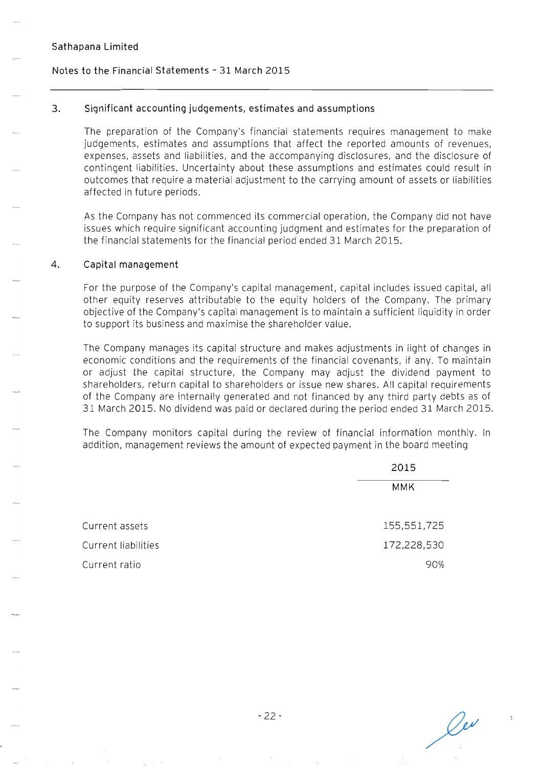### **Notes to the Financial statements - 31 March 2015**

#### **3. Significant accounting judgements, estimates and assumptions**

The preparation of the Company's financial statements requires management to make judgements, estimates and assumptions that affect the reported amounts of revenues, expenses, assets and liabilities, and the accompanying disclosures, and the disclosure of contingent liabilities. Uncertainty about these assumptions and estimates could result in outcomes that require a material adjustment to the carrying amount of assets or liabilities affected in future periods.

As the Company has not commenced its commercial operation, the Company did not have issues which require significant accounting judgment and estimates for the preparation of the financial statements for the financial period ended 31 March 2015.

#### **4. Capital management**

For the purpose of the Company's capital management, capital includes issued capital, all other equity reserves attributable to the equity holders of the Company. The primary objective of the Company's capital management is to maintain a sufficient liquidity in order to support its business and maximise the shareholder value.

The Company manages its capital structure and makes adjustments in light of changes in economic conditions and the requirements of the financial covenants, if any. To maintain or adjust the capital structure, the Company may adjust the dividend payment to shareholders, return capital to shareholders or issue new shares. All capital requirements of the Company are internally generated and not financed by any third party debts as of 31 March 2015. No dividend was paid or declared during the period ended 31 March 2015.

The Company monitors capital during the review of financial information monthly. In addition, management reviews the amount of expected payment in the board meeting

|                     | 2015        |
|---------------------|-------------|
|                     | <b>MMK</b>  |
| Current assets      | 155,551,725 |
| Current liabilities | 172,228,530 |
| Current ratio       | 90%         |

Oer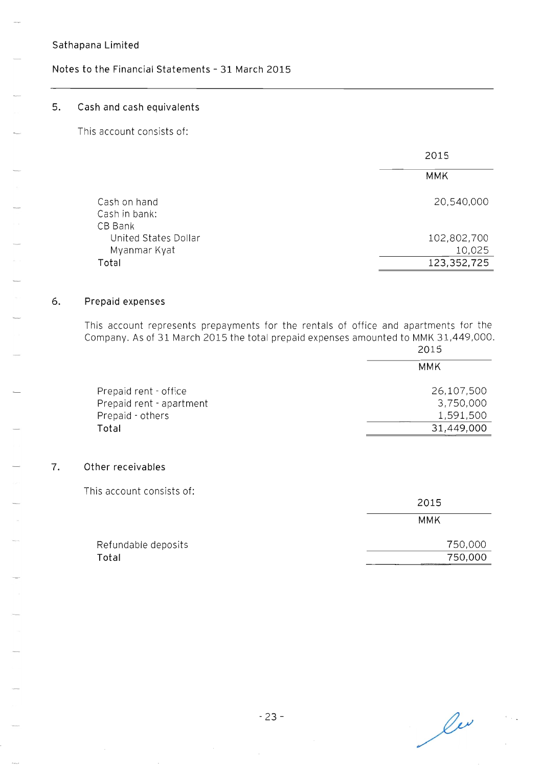# **Notes to the Financial Statements - 31 March 2015**

## **5. Cash and cash equivalents**

This account consists of:

|                          | 2015        |
|--------------------------|-------------|
|                          | MMK         |
| Cash on hand             | 20,540,000  |
| Cash in bank:<br>CB Bank |             |
| United States Dollar     | 102,802,700 |
| Myanmar Kyat             | 10,025      |
| Total                    | 123,352,725 |

### **6. Prepaid expenses**

This account represents prepayments for the rentals of office and apartments for the Company. As of 31 March 2015 the total prepaid expenses amounted to MMK 31,449,000.

| 2015                    |  |
|-------------------------|--|
| MMK                     |  |
| 26,107,500<br>3,750,000 |  |
| 1,591,500               |  |
| 31,449,000              |  |
|                         |  |

#### **7. Other receivables**

This account consists of:

|                     | 2015    |
|---------------------|---------|
|                     | MMK     |
| Refundable deposits | 750,000 |
| Total               | 750,000 |

 $\ell^{\nu}$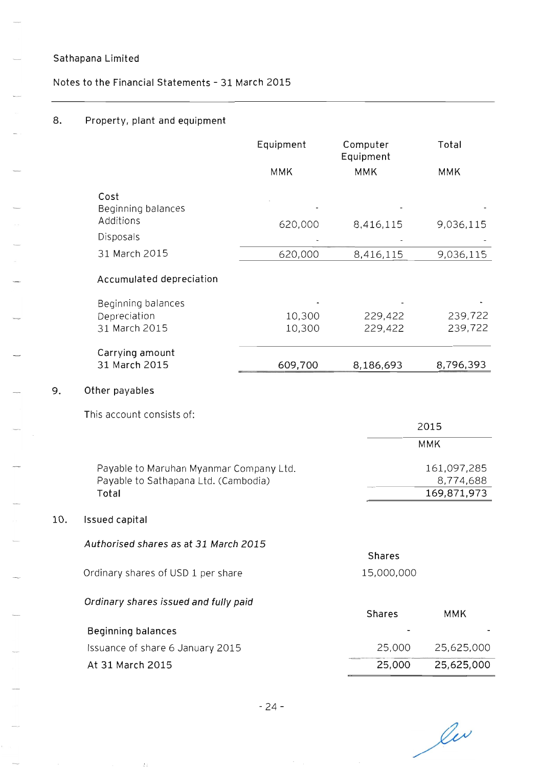**9. Other payables** 

**10.** 

**Notes to the Financial Statements - 31 March 2015** 

# **8. Property, plant and equipment**

|                                                                                 | Equipment  | Computer<br>Equipment | Total                    |
|---------------------------------------------------------------------------------|------------|-----------------------|--------------------------|
|                                                                                 | <b>MMK</b> | <b>MMK</b>            | <b>MMK</b>               |
| Cost<br>Beginning balances                                                      |            |                       |                          |
| Additions                                                                       | 620,000    | 8,416,115             | 9,036,115                |
| Disposals                                                                       |            |                       |                          |
| 31 March 2015                                                                   | 620,000    | 8,416,115             | 9,036,115                |
| Accumulated depreciation                                                        |            |                       |                          |
| Beginning balances<br>Depreciation                                              | 10,300     | 229,422               | 239,722                  |
| 31 March 2015                                                                   | 10,300     | 229,422               | 239,722                  |
| Carrying amount<br>31 March 2015                                                | 609,700    | 8,186,693             | 8,796,393                |
| Other payables                                                                  |            |                       |                          |
| This account consists of:                                                       |            |                       |                          |
|                                                                                 |            |                       | 2015                     |
|                                                                                 |            |                       | <b>MMK</b>               |
| Payable to Maruhan Myanmar Company Ltd.<br>Payable to Sathapana Ltd. (Cambodia) |            |                       | 161,097,285<br>8,774,688 |
| Total                                                                           |            |                       | 169,871,973              |
| <b>Issued capital</b>                                                           |            |                       |                          |
| Authorised shares as at 31 March 2015                                           |            |                       |                          |
|                                                                                 |            | <b>Shares</b>         |                          |
| Ordinary shares of USD 1 per share                                              |            | 15,000,000            |                          |
| Ordinary shares issued and fully paid                                           |            |                       |                          |
|                                                                                 |            | <b>Shares</b>         | <b>MMK</b>               |
| <b>Beginning balances</b>                                                       |            |                       |                          |
| Issuance of share 6 January 2015                                                |            | 25,000                | 25,625,000               |
| At 31 March 2015                                                                |            | 25,000                | 25,625,000               |

les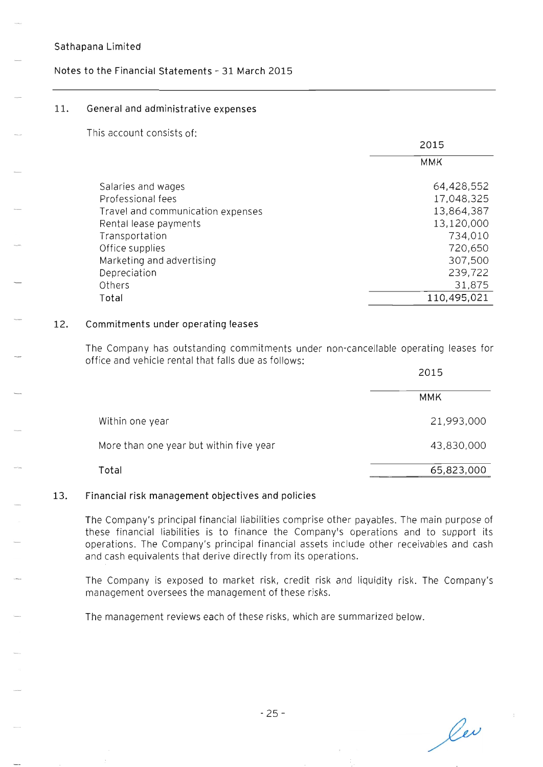# **Notes to the Financial statements - 31 March 2015**

### **11. General and administrative expenses**

This account consists of:

| 2015        |
|-------------|
| <b>MMK</b>  |
| 64,428,552  |
| 17,048,325  |
| 13,864,387  |
| 13,120,000  |
| 734,010     |
| 720,650     |
| 307,500     |
| 239,722     |
| 31,875      |
| 110,495,021 |
|             |

### **12. Commitments under operating leases**

The Company has outstanding commitments under non-cancellable operating leases for office and vehicle rental that falls due as follows:

|                                         | 2015       |  |
|-----------------------------------------|------------|--|
|                                         | <b>MMK</b> |  |
| Within one year                         | 21,993,000 |  |
| More than one year but within five year | 43,830,000 |  |
| Total                                   | 65,823,000 |  |

## **13. Financial risk management objectives and policies**

The Company's principal financial liabilities comprise other payables. The main purpose of these financial liabilities is to finance the Company's operations and to support its operations. The Company's principal financial assets include other receivables and cash and cash equivalents that derive directly from its operations.

The Company is exposed to market risk, credit risk and liquidity risk. The Company's management oversees the management of these risks.

The management reviews each of these risks, which are summarized below.

lev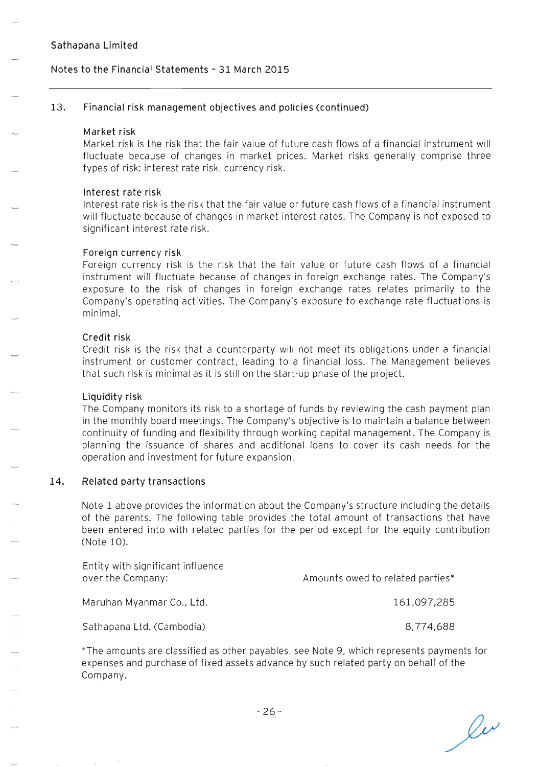## **Notes to the Financial Statements - 31 March 2015**

#### **13. Financial risk management objectives and policies (continued)**

#### **Market risk**

Market risk is the risk that the fair value of future cash flows of a financial instrument will fluctuate because of changes in market prices. Market risks generally comprise three types of risk: interest rate risk, currency risk.

#### **Interest rate risk**

Interest rate risk is the risk that the fair value or future cash flows of a financial instrument will fluctuate because of changes in market interest rates. The Company is not exposed to significant interest rate risk .

#### **Foreign currency risk**

Foreign currency risk is the risk that the fair value or future cash flows of a financial instrument will fluctuate because of changes in foreign exchange rates. The Company's exposure to the risk of changes in foreign exchange rates relates primarily to the Company's operating activities. The Company's exposure to exchange rate fluctuations is minimal.

#### **Credit risk**

Credit risk is the risk that a counterparty will not meet its obligations under a financial instrument or customer contract, leading to a financial loss. The Management believes that such risk is minimal as it is still on the start-up phase of the project.

#### **Liquidity risk**

The Company monitors its risk to a shortage of funds by reviewing the cash payment plan in the monthly board meetings. The Company's objective is to maintain a balance between continuity of funding and flexibility through working capital management. The Company is planning the issuance of shares and additional loans to cover its cash needs for the operation and investment for future expansion.

#### **14. Related party transactions**

Note 1 above provides the information about the Company's structure including the details of the parents. The following table provides the total amount of transactions that have been entered into with related parties for the period except for the equity contribution (Note 10).

| Entity with significant influence<br>over the Company: | Amounts owed to related parties* |
|--------------------------------------------------------|----------------------------------|
| Maruhan Myanmar Co., Ltd.                              | 161,097,285                      |
| Sathapana Ltd. (Cambodia)                              | 8.774.688                        |

\*The amounts are classified as other payables, see Note 9, which represents payments for expenses and purchase of fixed assets advance by such related party on behalf of the Company.

 $\ell^{\nu}$